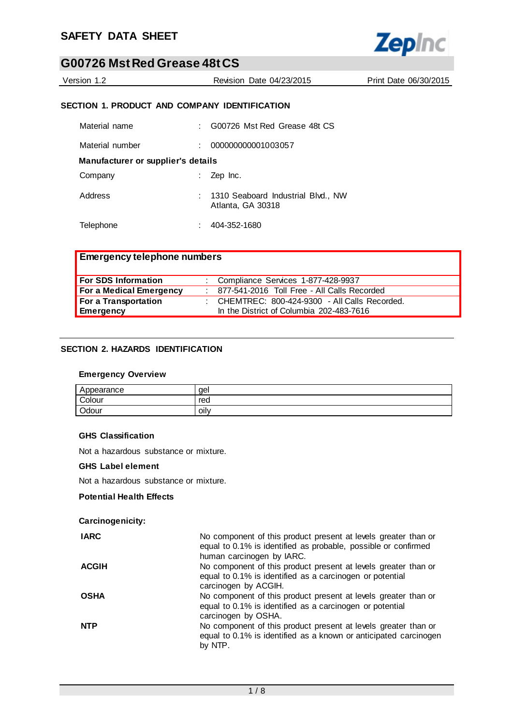

Version 1.2 Revision Date 04/23/2015 Print Date 06/30/2015

# **SECTION 1. PRODUCT AND COMPANY IDENTIFICATION**

| Material name                      | G00726 Mst Red Grease 48t CS                            |
|------------------------------------|---------------------------------------------------------|
| Material number                    | 000000000001003057                                      |
| Manufacturer or supplier's details |                                                         |
| Company                            | Zep Inc.                                                |
| Address                            | 1310 Seaboard Industrial Blvd., NW<br>Atlanta, GA 30318 |
| Telephone                          | 404-352-1680                                            |

| <b>Emergency telephone numbers</b> |                                                  |
|------------------------------------|--------------------------------------------------|
| For SDS Information                | : Compliance Services 1-877-428-9937             |
| For a Medical Emergency            | 877-541-2016 Toll Free - All Calls Recorded      |
| For a Transportation               | : CHEMTREC: $800-424-9300$ - All Calls Recorded. |
| Emergency                          | In the District of Columbia 202-483-7616         |

### **SECTION 2. HAZARDS IDENTIFICATION**

#### **Emergency Overview**

| Appearance | qel  |
|------------|------|
| Colour     | red  |
| Odour      | oily |

# **GHS Classification**

Not a hazardous substance or mixture.

#### **GHS Label element**

Not a hazardous substance or mixture.

#### **Potential Health Effects**

# **Carcinogenicity:**

| <b>IARC</b>  | No component of this product present at levels greater than or<br>equal to 0.1% is identified as probable, possible or confirmed<br>human carcinogen by IARC. |
|--------------|---------------------------------------------------------------------------------------------------------------------------------------------------------------|
| <b>ACGIH</b> | No component of this product present at levels greater than or<br>equal to 0.1% is identified as a carcinogen or potential<br>carcinogen by ACGIH.            |
| <b>OSHA</b>  | No component of this product present at levels greater than or<br>equal to 0.1% is identified as a carcinogen or potential<br>carcinogen by OSHA.             |
| <b>NTP</b>   | No component of this product present at levels greater than or<br>equal to 0.1% is identified as a known or anticipated carcinogen<br>by NTP.                 |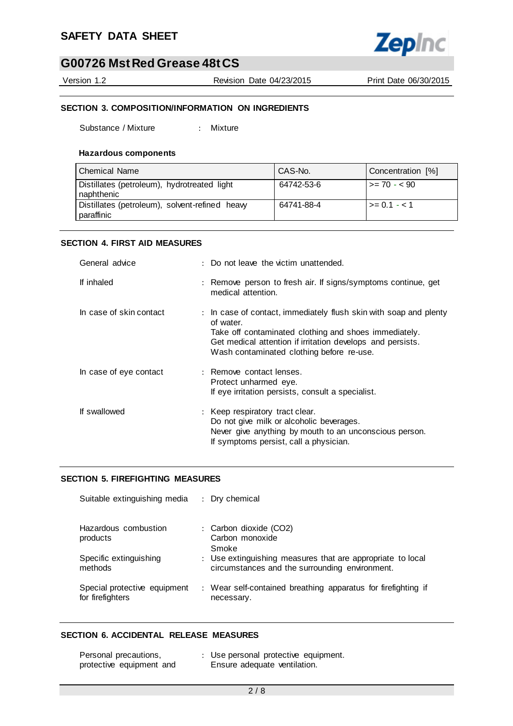

Version 1.2 Revision Date 04/23/2015 Print Date 06/30/2015

# **SECTION 3. COMPOSITION/INFORMATION ON INGREDIENTS**

Substance / Mixture : Mixture

#### **Hazardous components**

| <b>Chemical Name</b>                                         | CAS-No.    | Concentration [%] |
|--------------------------------------------------------------|------------|-------------------|
| Distillates (petroleum), hydrotreated light<br>naphthenic    | 64742-53-6 | l >= 70 - < 90 l  |
| Distillates (petroleum), solvent-refined heavy<br>paraffinic | 64741-88-4 | $\ge$ 0.1 - < 1   |

# **SECTION 4. FIRST AID MEASURES**

| General advice          | : Do not leave the victim unattended.                                                                                                                                                                                                              |
|-------------------------|----------------------------------------------------------------------------------------------------------------------------------------------------------------------------------------------------------------------------------------------------|
| If inhaled              | : Remove person to fresh air. If signs/symptoms continue, get<br>medical attention.                                                                                                                                                                |
| In case of skin contact | : In case of contact, immediately flush skin with soap and plenty<br>of water.<br>Take off contaminated clothing and shoes immediately.<br>Get medical attention if irritation develops and persists.<br>Wash contaminated clothing before re-use. |
| In case of eye contact  | : Remove contact lenses.<br>Protect unharmed eye.<br>If eye irritation persists, consult a specialist.                                                                                                                                             |
| If swallowed            | : Keep respiratory tract clear.<br>Do not give milk or alcoholic beverages.<br>Never give anything by mouth to an unconscious person.<br>If symptoms persist, call a physician.                                                                    |

#### **SECTION 5. FIREFIGHTING MEASURES**

| Suitable extinguishing media                     | : Dry chemical                                                                                               |
|--------------------------------------------------|--------------------------------------------------------------------------------------------------------------|
| Hazardous combustion<br>products                 | : Carbon dioxide (CO2)<br>Carbon monoxide<br>Smoke                                                           |
| Specific extinguishing<br>methods                | : Use extinguishing measures that are appropriate to local<br>circumstances and the surrounding environment. |
| Special protective equipment<br>for firefighters | : Wear self-contained breathing apparatus for firefighting if<br>necessary.                                  |

#### **SECTION 6. ACCIDENTAL RELEASE MEASURES**

| Personal precautions,    | : Use personal protective equipment. |
|--------------------------|--------------------------------------|
| protective equipment and | Ensure adequate ventilation.         |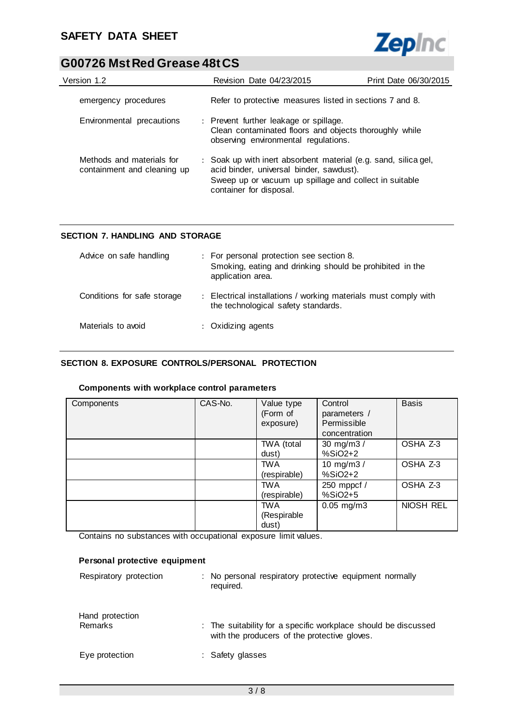

| Version 1.2                                              | <b>Revision Date 04/23/2015</b>                                                                                                                                                                  | Print Date 06/30/2015 |
|----------------------------------------------------------|--------------------------------------------------------------------------------------------------------------------------------------------------------------------------------------------------|-----------------------|
| emergency procedures                                     | Refer to protective measures listed in sections 7 and 8.                                                                                                                                         |                       |
| Environmental precautions                                | : Prevent further leakage or spillage.<br>Clean contaminated floors and objects thoroughly while<br>observing environmental regulations.                                                         |                       |
| Methods and materials for<br>containment and cleaning up | : Soak up with inert absorbent material (e.g. sand, silica gel,<br>acid binder, universal binder, sawdust).<br>Sweep up or vacuum up spillage and collect in suitable<br>container for disposal. |                       |

# **SECTION 7. HANDLING AND STORAGE**

| Advice on safe handling     | : For personal protection see section 8.<br>Smoking, eating and drinking should be prohibited in the<br>application area. |
|-----------------------------|---------------------------------------------------------------------------------------------------------------------------|
| Conditions for safe storage | : Electrical installations / working materials must comply with<br>the technological safety standards.                    |
| Materials to avoid          | : Oxidizing agents                                                                                                        |

# **SECTION 8. EXPOSURE CONTROLS/PERSONAL PROTECTION**

#### **Components with workplace control parameters**

| Components | CAS-No. | Value type<br>(Form of<br>exposure) | Control<br>parameters /<br>Permissible<br>concentration | <b>Basis</b> |
|------------|---------|-------------------------------------|---------------------------------------------------------|--------------|
|            |         | TWA (total<br>dust)                 | 30 mg/m3 /<br>$%SiO2+2$                                 | OSHA Z-3     |
|            |         | <b>TWA</b><br>(respirable)          | 10 mg/m $3/$<br>$%SiO2+2$                               | OSHA Z-3     |
|            |         | <b>TWA</b><br>(respirable)          | 250 mppcf /<br>%SiO2+5                                  | OSHA Z-3     |
|            |         | <b>TWA</b><br>(Respirable<br>dust)  | $0.05$ mg/m $3$                                         | NIOSH REL    |

Contains no substances with occupational exposure limit values.

# **Personal protective equipment** Respiratory protection : No personal respiratory protective equipment normally required. Hand protection

| Hand protection<br>Remarks | : The suitability for a specific workplace should be discussed<br>with the producers of the protective gloves. |
|----------------------------|----------------------------------------------------------------------------------------------------------------|
| Eye protection             | : Safety glasses                                                                                               |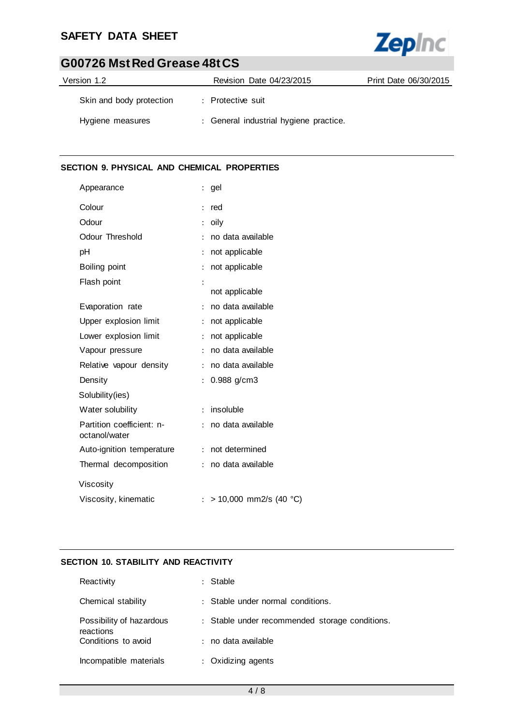# **SAFETY DATA SHEET**



# **G00726 Mst Red Grease 48t CS**

| Version 1.2              | Revision Date 04/23/2015               | Print Date 06/30/2015 |
|--------------------------|----------------------------------------|-----------------------|
| Skin and body protection | : Protective suit                      |                       |
| Hygiene measures         | : General industrial hygiene practice. |                       |

# **SECTION 9. PHYSICAL AND CHEMICAL PROPERTIES**

| Appearance                                 | gel                                      |
|--------------------------------------------|------------------------------------------|
| Colour                                     | red<br>$\ddot{\cdot}$                    |
| Odour                                      | oily                                     |
| Odour Threshold                            | no data available<br>$\ddot{\cdot}$      |
| рH                                         | not applicable                           |
| Boiling point                              | not applicable<br>$\ddot{\cdot}$         |
| Flash point                                | $\ddot{\cdot}$<br>not applicable         |
| Evaporation rate                           | no data available<br>$\ddot{\cdot}$      |
| Upper explosion limit                      | not applicable<br>$\ddot{\cdot}$         |
| Lower explosion limit                      | not applicable<br>÷                      |
| Vapour pressure                            | no data available<br>$\ddot{\cdot}$      |
| Relative vapour density                    | no data available<br>÷                   |
| Density                                    | 0.988 g/cm3                              |
| Solubility(ies)                            |                                          |
| Water solubility                           | insoluble<br>÷                           |
| Partition coefficient: n-<br>octanol/water | no data available<br>÷                   |
| Auto-ignition temperature                  | not determined<br>÷                      |
| Thermal decomposition                      | no data available<br>÷                   |
| Viscosity                                  |                                          |
| Viscosity, kinematic                       | > 10,000 mm2/s (40 °C)<br>$\ddot{\cdot}$ |

# **SECTION 10. STABILITY AND REACTIVITY**

| Reactivity                            | : Stable                                       |
|---------------------------------------|------------------------------------------------|
| Chemical stability                    | : Stable under normal conditions.              |
| Possibility of hazardous<br>reactions | : Stable under recommended storage conditions. |
| Conditions to avoid                   | : no data available                            |
| Incompatible materials                | : Oxidizing agents                             |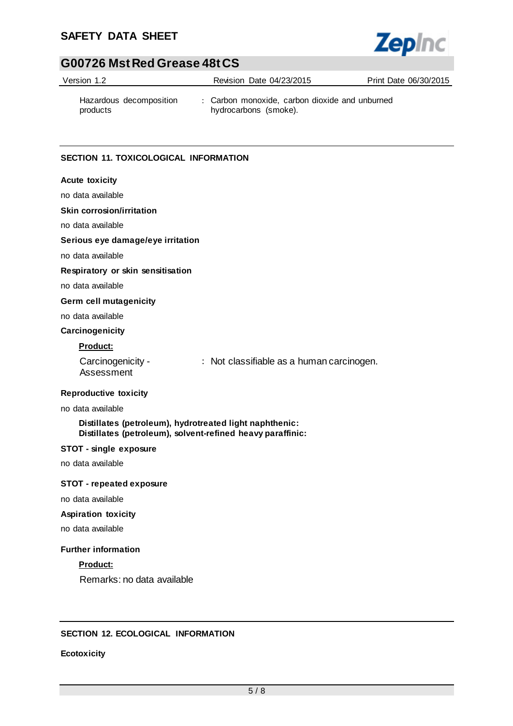# **SAFETY DATA SHEET**



# **G00726 Mst Red Grease 48t CS**

| Version 1.2                         | Revision Date 04/23/2015                                                | Print Date 06/30/2015 |
|-------------------------------------|-------------------------------------------------------------------------|-----------------------|
| Hazardous decomposition<br>products | : Carbon monoxide, carbon dioxide and unburned<br>hydrocarbons (smoke). |                       |

### **SECTION 11. TOXICOLOGICAL INFORMATION**

# **Acute toxicity**

no data available

#### **Skin corrosion/irritation**

no data available

#### **Serious eye damage/eye irritation**

no data available

#### **Respiratory or skin sensitisation**

no data available

#### **Germ cell mutagenicity**

no data available

# **Carcinogenicity**

# **Product:**

Carcinogenicity - Assessment : Not classifiable as a human carcinogen.

#### **Reproductive toxicity**

#### no data available

#### **Distillates (petroleum), hydrotreated light naphthenic: Distillates (petroleum), solvent-refined heavy paraffinic:**

#### **STOT - single exposure**

no data available

#### **STOT - repeated exposure**

no data available

#### **Aspiration toxicity**

no data available

### **Further information**

**Product:**

Remarks: no data available

### **SECTION 12. ECOLOGICAL INFORMATION**

### **Ecotoxicity**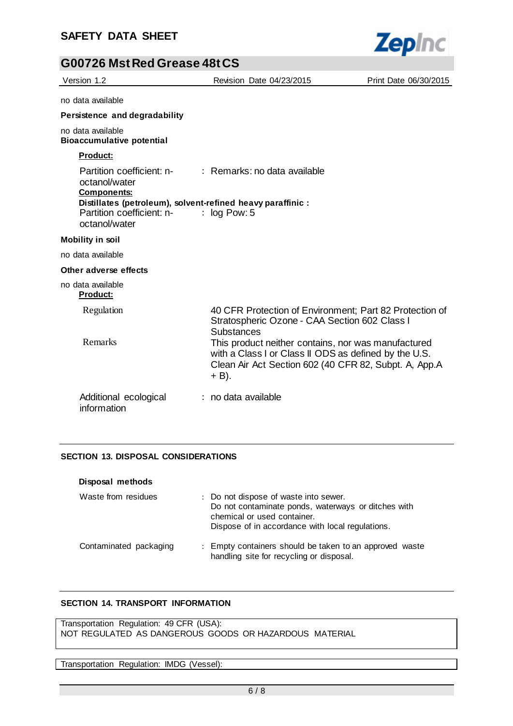

| Version 1.2                                                                                                                                                  | Revision Date 04/23/2015                                                                                                                                                         | Print Date 06/30/2015 |
|--------------------------------------------------------------------------------------------------------------------------------------------------------------|----------------------------------------------------------------------------------------------------------------------------------------------------------------------------------|-----------------------|
| no data available                                                                                                                                            |                                                                                                                                                                                  |                       |
| Persistence and degradability                                                                                                                                |                                                                                                                                                                                  |                       |
| no data available<br><b>Bioaccumulative potential</b>                                                                                                        |                                                                                                                                                                                  |                       |
| <b>Product:</b>                                                                                                                                              |                                                                                                                                                                                  |                       |
| Partition coefficient: n- : Remarks: no data available<br>octanol/water<br><b>Components:</b><br>Distillates (petroleum), solvent-refined heavy paraffinic : |                                                                                                                                                                                  |                       |
| Partition coefficient: n-<br>octanol/water                                                                                                                   | $\therefore$ log Pow: 5                                                                                                                                                          |                       |
| <b>Mobility in soil</b>                                                                                                                                      |                                                                                                                                                                                  |                       |
| no data available                                                                                                                                            |                                                                                                                                                                                  |                       |
| Other adverse effects                                                                                                                                        |                                                                                                                                                                                  |                       |
| no data available<br><b>Product:</b>                                                                                                                         |                                                                                                                                                                                  |                       |
| Regulation                                                                                                                                                   | 40 CFR Protection of Environment; Part 82 Protection of<br>Stratospheric Ozone - CAA Section 602 Class I<br>Substances                                                           |                       |
| Remarks                                                                                                                                                      | This product neither contains, nor was manufactured<br>with a Class I or Class II ODS as defined by the U.S.<br>Clean Air Act Section 602 (40 CFR 82, Subpt. A, App.A<br>$+$ B). |                       |
| Additional ecological<br>information                                                                                                                         | $:$ no data available                                                                                                                                                            |                       |

### **SECTION 13. DISPOSAL CONSIDERATIONS**

| Disposal methods       |                                                                                                                                                                                 |
|------------------------|---------------------------------------------------------------------------------------------------------------------------------------------------------------------------------|
| Waste from residues    | : Do not dispose of waste into sewer.<br>Do not contaminate ponds, waterways or ditches with<br>chemical or used container.<br>Dispose of in accordance with local regulations. |
| Contaminated packaging | : Empty containers should be taken to an approved waste<br>handling site for recycling or disposal.                                                                             |

### **SECTION 14. TRANSPORT INFORMATION**

Transportation Regulation: 49 CFR (USA): NOT REGULATED AS DANGEROUS GOODS OR HAZARDOUS MATERIAL

Transportation Regulation: IMDG (Vessel):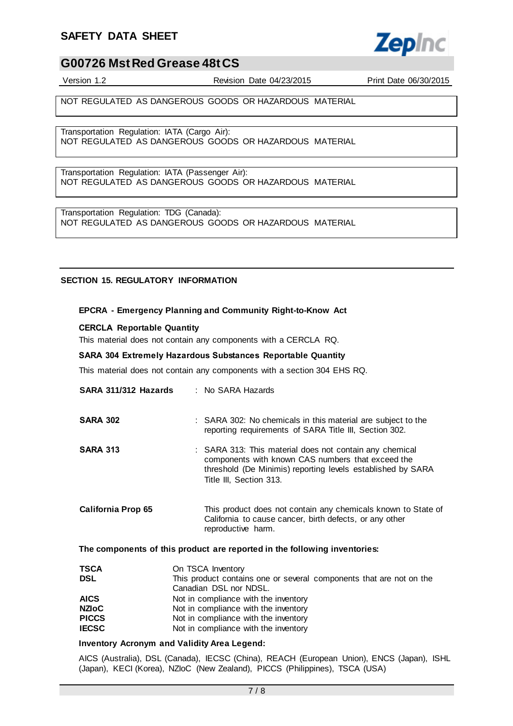# **SAFETY DATA SHEET**



# **G00726 Mst Red Grease 48t CS**

Version 1.2 Revision Date 04/23/2015 Print Date 06/30/2015

NOT REGULATED AS DANGEROUS GOODS OR HAZARDOUS MATERIAL

Transportation Regulation: IATA (Cargo Air): NOT REGULATED AS DANGEROUS GOODS OR HAZARDOUS MATERIAL

Transportation Regulation: IATA (Passenger Air): NOT REGULATED AS DANGEROUS GOODS OR HAZARDOUS MATERIAL

Transportation Regulation: TDG (Canada): NOT REGULATED AS DANGEROUS GOODS OR HAZARDOUS MATERIAL

### **SECTION 15. REGULATORY INFORMATION**

#### **EPCRA - Emergency Planning and Community Right-to-Know Act**

#### **CERCLA Reportable Quantity**

This material does not contain any components with a CERCLA RQ.

#### **SARA 304 Extremely Hazardous Substances Reportable Quantity**

This material does not contain any components with a section 304 EHS RQ.

| SARA 311/312 Hazards      | $:$ No SARA Hazards                                                                                                                                                                                    |
|---------------------------|--------------------------------------------------------------------------------------------------------------------------------------------------------------------------------------------------------|
| <b>SARA 302</b>           | : SARA 302: No chemicals in this material are subject to the<br>reporting requirements of SARA Title III, Section 302.                                                                                 |
| <b>SARA 313</b>           | : SARA 313: This material does not contain any chemical<br>components with known CAS numbers that exceed the<br>threshold (De Minimis) reporting levels established by SARA<br>Title III, Section 313. |
| <b>California Prop 65</b> | This product does not contain any chemicals known to State of<br>California to cause cancer, birth defects, or any other<br>reproductive harm.                                                         |

#### **The components of this product are reported in the following inventories:**

| <b>TSCA</b>  | On TSCA Inventory                                                   |
|--------------|---------------------------------------------------------------------|
| <b>DSL</b>   | This product contains one or several components that are not on the |
|              | Canadian DSL nor NDSL.                                              |
| <b>AICS</b>  | Not in compliance with the inventory                                |
| <b>NZIoC</b> | Not in compliance with the inventory                                |
| <b>PICCS</b> | Not in compliance with the inventory                                |
| <b>IECSC</b> | Not in compliance with the inventory                                |

#### **Inventory Acronym and Validity Area Legend:**

AICS (Australia), DSL (Canada), IECSC (China), REACH (European Union), ENCS (Japan), ISHL (Japan), KECI (Korea), NZIoC (New Zealand), PICCS (Philippines), TSCA (USA)